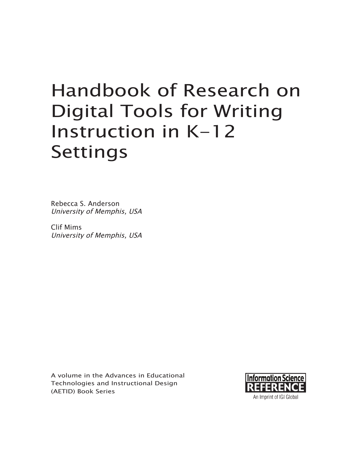# Handbook of Research on Digital Tools for Writing Instruction in K-12 Settings

Rebecca S. Anderson University of Memphis, USA

Clif Mims University of Memphis, USA

A volume in the Advances in Educational Technologies and Instructional Design (AETID) Book Series

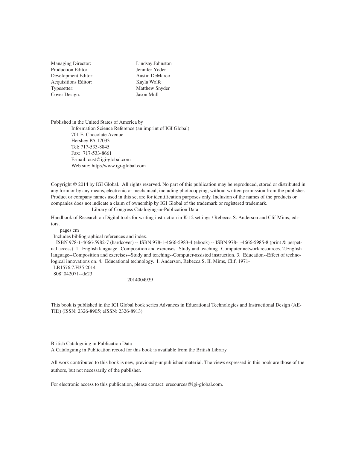Managing Director: Production Editor: Development Editor: Acquisitions Editor: Typesetter: Cover Design:

Lindsay Johnston Jennifer Yoder Austin DeMarco Kayla Wolfe Matthew Snyder Jason Mull

Published in the United States of America by Information Science Reference (an imprint of IGI Global) 701 E. Chocolate Avenue Hershey PA 17033 Tel: 717-533-8845 Fax: 717-533-8661 E-mail: cust@igi-global.com Web site: http://www.igi-global.com

Copyright © 2014 by IGI Global. All rights reserved. No part of this publication may be reproduced, stored or distributed in any form or by any means, electronic or mechanical, including photocopying, without written permission from the publisher. Product or company names used in this set are for identification purposes only. Inclusion of the names of the products or companies does not indicate a claim of ownership by IGI Global of the trademark or registered trademark. Library of Congress Cataloging-in-Publication Data

Handbook of Research on Digital tools for writing instruction in K-12 settings / Rebecca S. Anderson and Clif Mims, editors.

pages cm

Includes bibliographical references and index.

 ISBN 978-1-4666-5982-7 (hardcover) -- ISBN 978-1-4666-5983-4 (ebook) -- ISBN 978-1-4666-5985-8 (print & perpetual access) 1. English language--Composition and exercises--Study and teaching--Computer network resources. 2.English language--Composition and exercises--Study and teaching--Computer-assisted instruction. 3. Education--Effect of technological innovations on. 4. Educational technology. I. Anderson, Rebecca S. II. Mims, Clif, 1971-

 LB1576.7.H35 2014 808'.042071--dc23

2014004939

This book is published in the IGI Global book series Advances in Educational Technologies and Instructional Design (AE-TID) (ISSN: 2326-8905; eISSN: 2326-8913)

British Cataloguing in Publication Data

A Cataloguing in Publication record for this book is available from the British Library.

All work contributed to this book is new, previously-unpublished material. The views expressed in this book are those of the authors, but not necessarily of the publisher.

For electronic access to this publication, please contact: eresources@igi-global.com.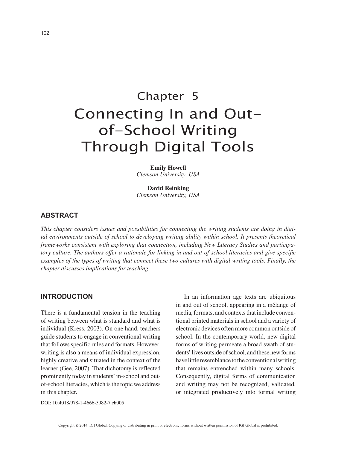# Chapter 5 Connecting In and Outof-School Writing Through Digital Tools

**Emily Howell** *Clemson University, USA*

**David Reinking** *Clemson University, USA*

# **ABSTRACT**

*This chapter considers issues and possibilities for connecting the writing students are doing in digital environments outside of school to developing writing ability within school. It presents theoretical frameworks consistent with exploring that connection, including New Literacy Studies and participatory culture. The authors offer a rationale for linking in and out-of-school literacies and give specific examples of the types of writing that connect these two cultures with digital writing tools. Finally, the chapter discusses implications for teaching.*

#### **INTRODUCTION**

There is a fundamental tension in the teaching of writing between what is standard and what is individual (Kress, 2003). On one hand, teachers guide students to engage in conventional writing that follows specific rules and formats. However, writing is also a means of individual expression, highly creative and situated in the context of the learner (Gee, 2007). That dichotomy is reflected prominently today in students' in-school and outof-school literacies, which is the topic we address in this chapter.

In an information age texts are ubiquitous in and out of school, appearing in a mélange of media, formats, and contexts that include conventional printed materials in school and a variety of electronic devices often more common outside of school. In the contemporary world, new digital forms of writing permeate a broad swath of students' lives outside of school, and these new forms have little resemblance to the conventional writing that remains entrenched within many schools. Consequently, digital forms of communication and writing may not be recognized, validated, or integrated productively into formal writing

DOI: 10.4018/978-1-4666-5982-7.ch005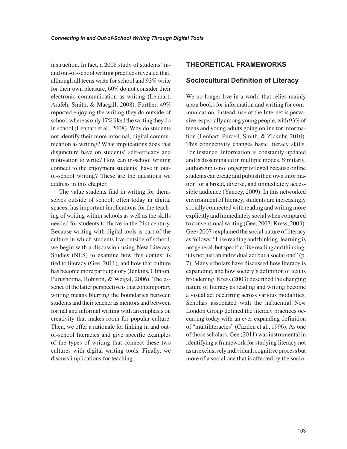instruction. In fact, a 2008 study of students' inand out-of-school writing practices revealed that, although all teens write for school and 93% write for their own pleasure, 60% do not consider their electronic communication as writing (Lenhart, Arafeh, Smith, & Macgill, 2008). Further, 49% reported enjoying the writing they do outside of school, whereas only 17% liked the writing they do in school (Lenhart et al., 2008). Why do students not identify their more informal, digital communication as writing? What implications does that disjuncture have on students' self-efficacy and motivation to write? How can in-school writing connect to the enjoyment students' have in outof-school writing? These are the questions we address in this chapter.

The value students find in writing for themselves outside of school, often today in digital spaces, has important implications for the teaching of writing within schools as well as the skills needed for students to thrive in the 21st century. Because writing with digital tools is part of the culture in which students live outside of school, we begin with a discussion using New Literacy Studies (NLS) to examine how this context is tied to literacy (Gee, 2011), and how that culture has become more participatory (Jenkins, Clinton, Purushotma, Robison, & Weigal, 2006). The essence of the latter perspective is that contemporary writing means blurring the boundaries between students and their teacher as mentors and between formal and informal writing with an emphasis on creativity that makes room for popular culture. Then, we offer a rationale for linking in and outof-school literacies and give specific examples of the types of writing that connect these two cultures with digital writing tools. Finally, we discuss implications for teaching.

# **THEORETICAL FRAMEWORKS**

#### **Sociocultural Definition of Literacy**

We no longer live in a world that relies mainly upon books for information and writing for communication. Instead, use of the Internet is pervasive, especially among young people, with 93% of teens and young adults going online for information (Lenhart, Purcell, Smith, & Zickuhr, 2010). This connectivity changes basic literacy skills. For instance, information is constantly updated and is disseminated in multiple modes. Similarly, authorship is no longer privileged because online students can create and publish their own information for a broad, diverse, and immediately accessible audience (Yancey, 2009). In this networked environment of literacy, students are increasingly socially connected with reading and writing more explicitly and immediately social when compared to conventional writing (Gee, 2007; Kress, 2003). Gee (2007) explained the social nature of literacy as follows: "Like reading and thinking, learning is not general, but specific; like reading and thinking, it is not just an individual act but a social one" (p. 7). Many scholars have discussed how literacy is expanding, and how society's definition of text is broadening. Kress (2003) described the changing nature of literacy as reading and writing become a visual act occurring across various modalities. Scholars associated with the influential New London Group defined the literacy practices occurring today with an ever expanding definition of "multiliteracies" (Cazden et al., 1996). As one of those scholars, Gee (2011) was instrumental in identifying a framework for studying literacy not as an exclusively individual, cognitive process but more of a social one that is affected by the socio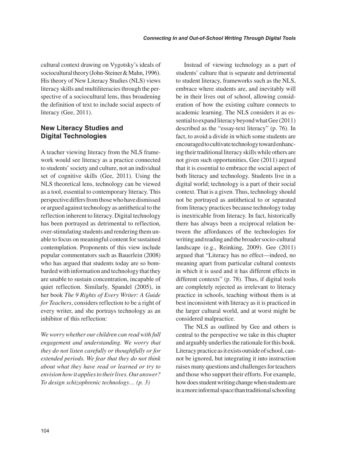cultural context drawing on Vygotsky's ideals of sociocultural theory (John-Steiner & Mahn, 1996). His theory of New Literacy Studies (NLS) views literacy skills and multiliteracies through the perspective of a sociocultural lens, thus broadening the definition of text to include social aspects of literacy (Gee, 2011).

# **New Literacy Studies and Digital Technologies**

A teacher viewing literacy from the NLS framework would see literacy as a practice connected to students' society and culture, not an individual set of cognitive skills (Gee, 2011). Using the NLS theoretical lens, technology can be viewed as a tool, essential to contemporary literacy. This perspective differs from those who have dismissed or argued against technology as antithetical to the reflection inherent to literacy. Digital technology has been portrayed as detrimental to reflection, over-stimulating students and rendering them unable to focus on meaningful content for sustained contemplation. Proponents of this view include popular commentators such as Bauerlein (2008) who has argued that students today are so bombarded with information and technology that they are unable to sustain concentration, incapable of quiet reflection. Similarly, Spandel (2005), in her book *The 9 Rights of Every Writer: A Guide for Teachers*, considers reflection to be a right of every writer, and she portrays technology as an inhibitor of this reflection:

*We worry whether our children can read with full engagement and understanding. We worry that they do not listen carefully or thoughtfully or for extended periods. We fear that they do not think about what they have read or learned or try to envision how it applies to their lives. Our answer? To design schizophrenic technology… (p. 3)*

Instead of viewing technology as a part of students' culture that is separate and detrimental to student literacy, frameworks such as the NLS, embrace where students are, and inevitably will be in their lives out of school, allowing consideration of how the existing culture connects to academic learning. The NLS considers it as essential to expand literacy beyond what Gee (2011) described as the "essay-text literacy" (p. 76). In fact, to avoid a divide in which some students are encouraged to cultivate technology toward enhancing their traditional literacy skills while others are not given such opportunities, Gee (2011) argued that it is essential to embrace the social aspect of both literacy and technology. Students live in a digital world; technology is a part of their social context. That is a given. Thus, technology should not be portrayed as antithetical to or separated from literacy practices because technology today is inextricable from literacy. In fact, historically there has always been a reciprocal relation between the affordances of the technologies for writing and reading and the broader socio-cultural landscape (e.g., Reinking, 2009). Gee (2011) argued that "Literacy has no effect—indeed, no meaning apart from particular cultural contexts in which it is used and it has different effects in different contexts" (p. 78). Thus, if digital tools are completely rejected as irrelevant to literacy practice in schools, teaching without them is at best inconsistent with literacy as it is practiced in the larger cultural world, and at worst might be considered malpractice.

The NLS as outlined by Gee and others is central to the perspective we take in this chapter and arguably underlies the rationale for this book. Literacy practice as it exists outside of school, cannot be ignored, but integrating it into instruction raises many questions and challenges for teachers and those who support their efforts. For example, how does student writing change when students are in a more informal space than traditional schooling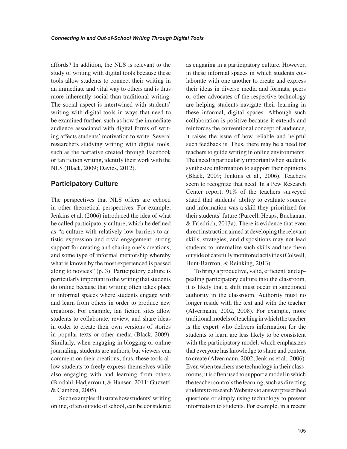affords? In addition, the NLS is relevant to the study of writing with digital tools because these tools allow students to connect their writing in an immediate and vital way to others and is thus more inherently social than traditional writing. The social aspect is intertwined with students' writing with digital tools in ways that need to be examined further, such as how the immediate audience associated with digital forms of writing affects students' motivation to write. Several researchers studying writing with digital tools, such as the narrative created through Facebook or fan fiction writing, identify their work with the NLS (Black, 2009; Davies, 2012).

# **Participatory Culture**

The perspectives that NLS offers are echoed in other theoretical perspectives. For example, Jenkins et al. (2006) introduced the idea of what he called participatory culture, which he defined as "a culture with relatively low barriers to artistic expression and civic engagement, strong support for creating and sharing one's creations, and some type of informal mentorship whereby what is known by the most experienced is passed along to novices" (p. 3). Participatory culture is particularly important to the writing that students do online because that writing often takes place in informal spaces where students engage with and learn from others in order to produce new creations. For example, fan fiction sites allow students to collaborate, review, and share ideas in order to create their own versions of stories in popular texts or other media (Black, 2009). Similarly, when engaging in blogging or online journaling, students are authors, but viewers can comment on their creations; thus, these tools allow students to freely express themselves while also engaging with and learning from others (Brodahl, Hadjerrouit, & Hansen, 2011; Guzzetti & Gamboa, 2005).

Such examples illustrate how students' writing online, often outside of school, can be considered as engaging in a participatory culture. However, in these informal spaces in which students collaborate with one another to create and express their ideas in diverse media and formats, peers or other advocates of the respective technology are helping students navigate their learning in these informal, digital spaces. Although such collaboration is positive because it extends and reinforces the conventional concept of audience, it raises the issue of how reliable and helpful such feedback is. Thus, there may be a need for teachers to guide writing in online environments. That need is particularly important when students synthesize information to support their opinions (Black, 2009; Jenkins et al., 2006). Teachers seem to recognize that need. In a Pew Research Center report, 91% of the teachers surveyed stated that students' ability to evaluate sources and information was a skill they prioritized for their students' future (Purcell, Heaps, Buchanan, & Friedrich, 2013a). There is evidence that even direct instruction aimed at developing the relevant skills, strategies, and dispositions may not lead students to internalize such skills and use them outside of carefully monitored activities (Colwell, Hunt-Barrron, & Reinking, 2013).

To bring a productive, valid, efficient, and appealing participatory culture into the classroom, it is likely that a shift must occur in sanctioned authority in the classroom. Authority must no longer reside with the text and with the teacher (Alvermann, 2002, 2008). For example, more traditional models of teaching in which the teacher is the expert who delivers information for the students to learn are less likely to be consistent with the participatory model, which emphasizes that everyone has knowledge to share and content to create (Alvermann, 2002; Jenkins et al., 2006). Even when teachers use technology in their classrooms, it is often used to support a model in which the teacher controls the learning, such as directing students to research Websites to answer prescribed questions or simply using technology to present information to students. For example, in a recent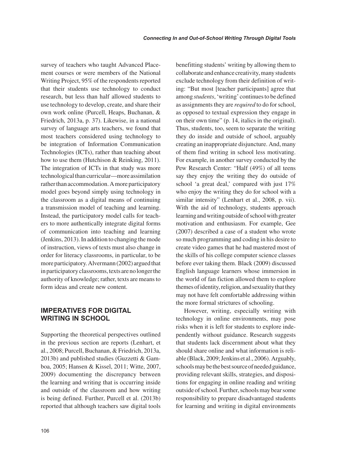survey of teachers who taught Advanced Placement courses or were members of the National Writing Project, 95% of the respondents reported that their students use technology to conduct research, but less than half allowed students to use technology to develop, create, and share their own work online (Purcell, Heaps, Buchanan, & Friedrich, 2013a, p. 37). Likewise, in a national survey of language arts teachers, we found that most teachers considered using technology to be integration of Information Communication Technologies (ICTs), rather than teaching about how to use them (Hutchison & Reinking, 2011). The integration of ICTs in that study was more technological than curricular—more assimilation rather than accommodation. A more participatory model goes beyond simply using technology in the classroom as a digital means of continuing a transmission model of teaching and learning. Instead, the participatory model calls for teachers to more authentically integrate digital forms of communication into teaching and learning (Jenkins, 2013). In addition to changing the mode of instruction, views of texts must also change in order for literacy classrooms, in particular, to be more participatory. Alvermann (2002) argued that in participatory classrooms, texts are no longer the authority of knowledge; rather, texts are means to form ideas and create new content.

# **IMPERATIVES FOR DIGITAL WRITING IN SCHOOL**

Supporting the theoretical perspectives outlined in the previous section are reports (Lenhart, et al., 2008; Purcell, Buchanan, & Friedrich, 2013a, 2013b) and published studies (Guzzetti & Gamboa, 2005; Hansen & Kissel, 2011; Witte, 2007, 2009) documenting the discrepancy between the learning and writing that is occurring inside and outside of the classroom and how writing is being defined. Further, Purcell et al. (2013b) reported that although teachers saw digital tools benefitting students' writing by allowing them to collaborate and enhance creativity, many students exclude technology from their definition of writing: "But most [teacher participants] agree that among *students*, 'writing' continues to be defined as assignments they are *required* to do for school, as opposed to textual expression they engage in on their own time" (p. 14, italics in the original). Thus, students, too, seem to separate the writing they do inside and outside of school, arguably creating an inappropriate disjuncture. And, many of them find writing in school less motivating. For example, in another survey conducted by the Pew Research Center: "Half (49%) of all teens say they enjoy the writing they do outside of school 'a great deal,' compared with just 17% who enjoy the writing they do for school with a similar intensity" (Lenhart et al., 2008, p. vii). With the aid of technology, students approach learning and writing outside of school with greater motivation and enthusiasm. For example, Gee (2007) described a case of a student who wrote so much programming and coding in his desire to create video games that he had mastered most of the skills of his college computer science classes before ever taking them. Black (2009) discussed English language learners whose immersion in the world of fan fiction allowed them to explore themes of identity, religion, and sexuality that they may not have felt comfortable addressing within the more formal strictures of schooling.

However, writing, especially writing with technology in online environments, may pose risks when it is left for students to explore independently without guidance. Research suggests that students lack discernment about what they should share online and what information is reliable (Black, 2009; Jenkins et al., 2006). Arguably, schools may be the best source of needed guidance, providing relevant skills, strategies, and dispositions for engaging in online reading and writing outside of school. Further, schools may bear some responsibility to prepare disadvantaged students for learning and writing in digital environments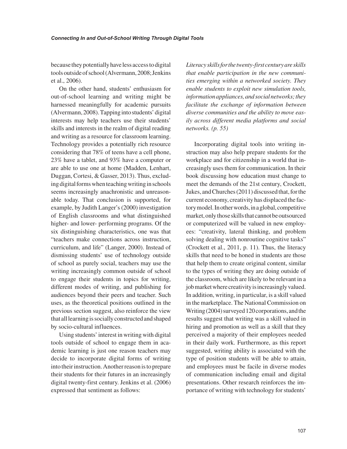because they potentially have less access to digital tools outside of school (Alvermann, 2008; Jenkins et al., 2006).

On the other hand, students' enthusiasm for out-of-school learning and writing might be harnessed meaningfully for academic pursuits (Alvermann, 2008). Tapping into students' digital interests may help teachers use their students' skills and interests in the realm of digital reading and writing as a resource for classroom learning. Technology provides a potentially rich resource considering that 78% of teens have a cell phone, 23% have a tablet, and 93% have a computer or are able to use one at home (Madden, Lenhart, Duggan, Cortesi, & Gasser, 2013). Thus, excluding digital forms when teaching writing in schools seems increasingly anachronistic and unreasonable today. That conclusion is supported, for example, by Judith Langer's (2000) investigation of English classrooms and what distinguished higher- and lower- performing programs. Of the six distinguishing characteristics, one was that "teachers make connections across instruction, curriculum, and life" (Langer, 2000). Instead of dismissing students' use of technology outside of school as purely social, teachers may use the writing increasingly common outside of school to engage their students in topics for writing, different modes of writing, and publishing for audiences beyond their peers and teacher. Such uses, as the theoretical positions outlined in the previous section suggest, also reinforce the view that all learning is socially constructed and shaped by socio-cultural influences.

Using students' interest in writing with digital tools outside of school to engage them in academic learning is just one reason teachers may decide to incorporate digital forms of writing into their instruction. Another reason is to prepare their students for their futures in an increasingly digital twenty-first century. Jenkins et al. (2006) expressed that sentiment as follows:

*Literacy skills for the twenty-first century are skills that enable participation in the new communities emerging within a networked society. They enable students to exploit new simulation tools, information appliances, and social networks; they facilitate the exchange of information between diverse communities and the ability to move easily across different media platforms and social networks. (p. 55)*

Incorporating digital tools into writing instruction may also help prepare students for the workplace and for citizenship in a world that increasingly uses them for communication. In their book discussing how education must change to meet the demands of the 21st century, Crockett, Jukes, and Churches (2011) discussed that, for the current economy, creativity has displaced the factory model. In other words, in a global, competitive market, only those skills that cannot be outsourced or computerized will be valued in new employees: "creativity, lateral thinking, and problem solving dealing with nonroutine cognitive tasks" (Crockett et al., 2011, p. 11). Thus, the literacy skills that need to be honed in students are those that help them to create original content, similar to the types of writing they are doing outside of the classroom, which are likely to be relevant in a job market where creativity is increasingly valued. In addition, writing, in particular, is a skill valued in the marketplace. The National Commission on Writing (2004) surveyed 120 corporations, and the results suggest that writing was a skill valued in hiring and promotion as well as a skill that they perceived a majority of their employees needed in their daily work. Furthermore, as this report suggested, writing ability is associated with the type of position students will be able to attain, and employees must be facile in diverse modes of communication including email and digital presentations. Other research reinforces the importance of writing with technology for students'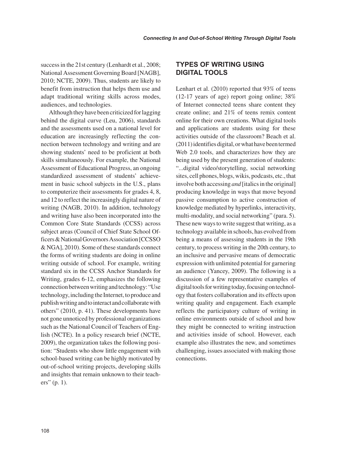success in the 21st century (Lenhardt et al., 2008; National Assessment Governing Board [NAGB], 2010; NCTE, 2009). Thus, students are likely to benefit from instruction that helps them use and adapt traditional writing skills across modes, audiences, and technologies.

Although they have been criticized for lagging behind the digital curve (Leu, 2006), standards and the assessments used on a national level for education are increasingly reflecting the connection between technology and writing and are showing students' need to be proficient at both skills simultaneously. For example, the National Assessment of Educational Progress, an ongoing standardized assessment of students' achievement in basic school subjects in the U.S., plans to computerize their assessments for grades 4, 8, and 12 to reflect the increasingly digital nature of writing (NAGB, 2010). In addition, technology and writing have also been incorporated into the Common Core State Standards (CCSS) across subject areas (Council of Chief State School Officers & National Governors Association [CCSSO & NGA], 2010). Some of these standards connect the forms of writing students are doing in online writing outside of school. For example, writing standard six in the CCSS Anchor Standards for Writing, grades 6-12, emphasizes the following connection between writing and technology: "Use technology, including the Internet, to produce and publish writing and to interact and collaborate with others" (2010, p. 41). These developments have not gone unnoticed by professional organizations such as the National Council of Teachers of English (NCTE). In a policy research brief (NCTE, 2009), the organization takes the following position: "Students who show little engagement with school-based writing can be highly motivated by out-of-school writing projects, developing skills and insights that remain unknown to their teachers" (p. 1).

# **TYPES OF WRITING USING DIGITAL TOOLS**

Lenhart et al. (2010) reported that 93% of teens (12-17 years of age) report going online; 38% of Internet connected teens share content they create online; and 21% of teens remix content online for their own creations. What digital tools and applications are students using for these activities outside of the classroom? Beach et al. (2011) identifies digital, or what have been termed Web 2.0 tools, and characterizes how they are being used by the present generation of students: "...digital video/storytelling, social networking sites, cell phones, blogs, wikis, podcasts, etc., that involve both accessing *and* [italics in the original] producing knowledge in ways that move beyond passive consumption to active construction of knowledge mediated by hyperlinks, interactivity, multi-modality, and social networking" (para. 5). These new ways to write suggest that writing, as a technology available in schools, has evolved from being a means of assessing students in the 19th century, to process writing in the 20th century, to an inclusive and pervasive means of democratic expression with unlimited potential for garnering an audience (Yancey, 2009). The following is a discussion of a few representative examples of digital tools for writing today, focusing on technology that fosters collaboration and its effects upon writing quality and engagement. Each example reflects the participatory culture of writing in online environments outside of school and how they might be connected to writing instruction and activities inside of school. However, each example also illustrates the new, and sometimes challenging, issues associated with making those connections.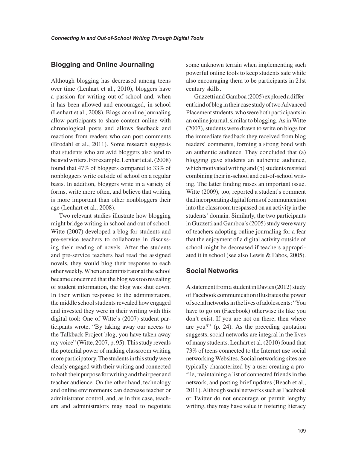#### **Blogging and Online Journaling**

Although blogging has decreased among teens over time (Lenhart et al., 2010), bloggers have a passion for writing out-of-school and, when it has been allowed and encouraged, in-school (Lenhart et al., 2008). Blogs or online journaling allow participants to share content online with chronological posts and allows feedback and reactions from readers who can post comments (Brodahl et al., 2011). Some research suggests that students who are avid bloggers also tend to be avid writers. For example, Lenhart et al. (2008) found that 47% of bloggers compared to 33% of nonbloggers write outside of school on a regular basis. In addition, bloggers write in a variety of forms, write more often, and believe that writing is more important than other nonbloggers their age (Lenhart et al., 2008).

Two relevant studies illustrate how blogging might bridge writing in school and out of school. Witte (2007) developed a blog for students and pre-service teachers to collaborate in discussing their reading of novels. After the students and pre-service teachers had read the assigned novels, they would blog their response to each other weekly. When an administrator at the school became concerned that the blog was too revealing of student information, the blog was shut down. In their written response to the administrators, the middle school students revealed how engaged and invested they were in their writing with this digital tool: One of Witte's (2007) student participants wrote, "By taking away our access to the Talkback Project blog, you have taken away my voice" (Witte, 2007, p. 95). This study reveals the potential power of making classroom writing more participatory. The students in this study were clearly engaged with their writing and connected to both their purpose for writing and their peer and teacher audience. On the other hand, technology and online environments can decrease teacher or administrator control, and, as in this case, teachers and administrators may need to negotiate some unknown terrain when implementing such powerful online tools to keep students safe while also encouraging them to be participants in 21st century skills.

Guzzetti and Gamboa (2005) explored a different kind of blog in their case study of two Advanced Placement students, who were both participants in an online journal, similar to blogging. As in Witte (2007), students were drawn to write on blogs for the immediate feedback they received from blog readers' comments, forming a strong bond with an authentic audience. They concluded that (a) blogging gave students an authentic audience, which motivated writing and (b) students resisted combining their in-school and out-of-school writing. The latter finding raises an important issue. Witte (2009), too, reported a student's comment that incorporating digital forms of communication into the classroom trespassed on an activity in the students' domain. Similarly, the two participants in Guzzetti and Gamboa's (2005) study were wary of teachers adopting online journaling for a fear that the enjoyment of a digital activity outside of school might be decreased if teachers appropriated it in school (see also Lewis & Fabos, 2005).

#### **Social Networks**

A statement from a student in Davies (2012) study of Facebook communication illustrates the power of social networks in the lives of adolescents: "You have to go on (Facebook) otherwise its like you don't exist. If you are not on there, then where are you?" (p. 24). As the preceding quotation suggests, social networks are integral in the lives of many students. Lenhart et al. (2010) found that 73% of teens connected to the Internet use social networking Websites. Social networking sites are typically characterized by a user creating a profile, maintaining a list of connected friends in the network, and posting brief updates (Beach et al., 2011). Although social networks such as Facebook or Twitter do not encourage or permit lengthy writing, they may have value in fostering literacy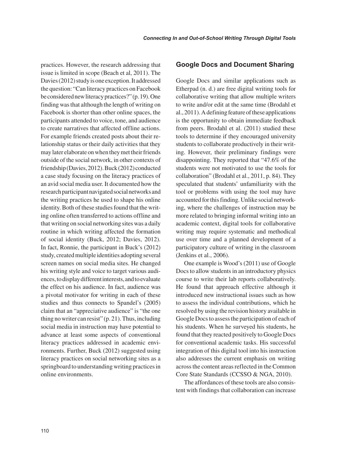practices. However, the research addressing that issue is limited in scope (Beach et al, 2011). The Davies (2012) study is one exception. It addressed the question: "Can literacy practices on Facebook be considered new literacy practices?" (p. 19). One finding was that although the length of writing on Facebook is shorter than other online spaces, the participants attended to voice, tone, and audience to create narratives that affected offline actions. For example friends created posts about their relationship status or their daily activities that they may later elaborate on when they met their friends outside of the social network, in other contexts of friendship (Davies, 2012). Buck (2012) conducted a case study focusing on the literacy practices of an avid social media user. It documented how the research participant navigated social networks and the writing practices he used to shape his online identity. Both of these studies found that the writing online often transferred to actions offline and that writing on social networking sites was a daily routine in which writing affected the formation of social identity (Buck, 2012; Davies, 2012). In fact, Ronnie, the participant in Buck's (2012) study, created multiple identities adopting several screen names on social media sites. He changed his writing style and voice to target various audiences, to display different interests, and to evaluate the effect on his audience. In fact, audience was a pivotal motivator for writing in each of these studies and thus connects to Spandel's (2005) claim that an "appreciative audience" is "the one thing no writer can resist" (p. 21). Thus, including social media in instruction may have potential to advance at least some aspects of conventional literacy practices addressed in academic environments. Further, Buck (2012) suggested using literacy practices on social networking sites as a springboard to understanding writing practices in online environments.

#### **Google Docs and Document Sharing**

Google Docs and similar applications such as Etherpad (n. d.) are free digital writing tools for collaborative writing that allow multiple writers to write and/or edit at the same time (Brodahl et al., 2011). A defining feature of these applications is the opportunity to obtain immediate feedback from peers. Brodahl et al. (2011) studied these tools to determine if they encouraged university students to collaborate productively in their writing. However, their preliminary findings were disappointing. They reported that "47.6% of the students were not motivated to use the tools for collaboration" (Brodahl et al., 2011, p. 84). They speculated that students' unfamiliarity with the tool or problems with using the tool may have accounted for this finding. Unlike social networking, where the challenges of instruction may be more related to bringing informal writing into an academic context, digital tools for collaborative writing may require systematic and methodical use over time and a planned development of a participatory culture of writing in the classroom (Jenkins et al., 2006).

One example is Wood's (2011) use of Google Docs to allow students in an introductory physics course to write their lab reports collaboratively. He found that approach effective although it introduced new instructional issues such as how to assess the individual contributions, which he resolved by using the revision history available in Google Docs to assess the participation of each of his students. When he surveyed his students, he found that they reacted positively to Google Docs for conventional academic tasks. His successful integration of this digital tool into his instruction also addresses the current emphasis on writing across the content areas reflected in the Common Core State Standards (CCSSO & NGA, 2010).

The affordances of these tools are also consistent with findings that collaboration can increase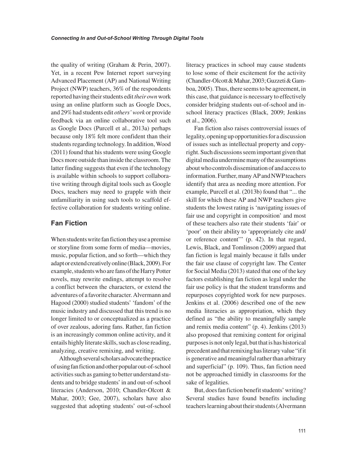the quality of writing (Graham & Perin, 2007). Yet, in a recent Pew Internet report surveying Advanced Placement (AP) and National Writing Project (NWP) teachers, 36% of the respondents reported having their students edit *their own* work using an online platform such as Google Docs, and 29% had students edit *others' work* or provide feedback via an online collaborative tool such as Google Docs (Purcell et al., 2013a) perhaps because only 18% felt more confident than their students regarding technology. In addition, Wood (2011) found that his students were using Google Docs more outside than inside the classroom. The latter finding suggests that even if the technology is available within schools to support collaborative writing through digital tools such as Google Docs, teachers may need to grapple with their unfamiliarity in using such tools to scaffold effective collaboration for students writing online.

# **Fan Fiction**

When students write fan fiction they use a premise or storyline from some form of media—movies, music, popular fiction, and so forth—which they adapt or extend creatively online (Black, 2009). For example, students who are fans of the Harry Potter novels, may rewrite endings, attempt to resolve a conflict between the characters, or extend the adventures of a favorite character. Alvermann and Hagood (2000) studied students' 'fandom' of the music industry and discussed that this trend is no longer limited to or conceptualized as a practice of over zealous, adoring fans. Rather, fan fiction is an increasingly common online activity, and it entails highly literate skills, such as close reading, analyzing, creative remixing, and writing.

Although several scholars advocate the practice of using fan fiction and other popular out-of-school activities such as gaming to better understand students and to bridge students' in and out-of-school literacies (Anderson, 2010; Chandler-Olcott & Mahar, 2003; Gee, 2007), scholars have also suggested that adopting students' out-of-school literacy practices in school may cause students to lose some of their excitement for the activity (Chandler-Olcott & Mahar, 2003; Guzzeti & Gamboa, 2005). Thus, there seems to be agreement, in this case, that guidance is necessary to effectively consider bridging students out-of-school and inschool literacy practices (Black, 2009; Jenkins et al., 2006).

Fan fiction also raises controversial issues of legality, opening up opportunities for a discussion of issues such as intellectual property and copyright. Such discussions seem important given that digital media undermine many of the assumptions about who controls dissemination of and access to information. Further, many AP and NWP teachers identify that area as needing more attention. For example, Purcell et al. (2013b) found that "... the skill for which these AP and NWP teachers give students the lowest rating is 'navigating issues of fair use and copyright in composition' and most of these teachers also rate their students 'fair' or 'poor' on their ability to 'appropriately cite and/ or reference content'" (p. 42). In that regard, Lewis, Black, and Tomlinson (2009) argued that fan fiction is legal mainly because it falls under the fair use clause of copyright law. The Center for Social Media (2013) stated that one of the key factors establishing fan fiction as legal under the fair use policy is that the student transforms and repurposes copyrighted work for new purposes. Jenkins et al. (2006) described one of the new media literacies as appropriation, which they defined as "the ability to meaningfully sample and remix media content" (p. 4). Jenkins (2013) also proposed that remixing content for original purposes is not only legal, but that is has historical precedent and that remixing has literary value "if it is generative and meaningful rather than arbitrary and superficial" (p. 109). Thus, fan fiction need not be approached timidly in classrooms for the sake of legalities.

But, does fan fiction benefit students' writing? Several studies have found benefits including teachers learning about their students (Alvermann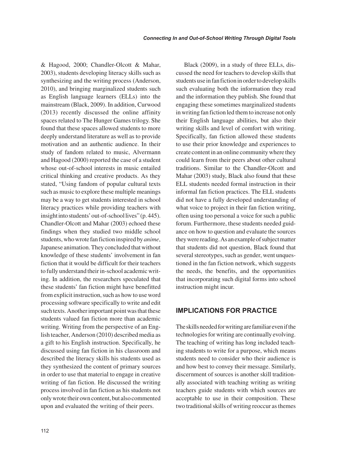& Hagood, 2000; Chandler-Olcott & Mahar, 2003), students developing literacy skills such as synthesizing and the writing process (Anderson, 2010), and bringing marginalized students such as English language learners (ELLs) into the mainstream (Black, 2009). In addition, Curwood (2013) recently discussed the online affinity spaces related to The Hunger Games trilogy. She found that these spaces allowed students to more deeply understand literature as well as to provide motivation and an authentic audience. In their study of fandom related to music, Alvermann and Hagood (2000) reported the case of a student whose out-of-school interests in music entailed critical thinking and creative products. As they stated, "Using fandom of popular cultural texts such as music to explore these multiple meanings may be a way to get students interested in school literacy practices while providing teachers with insight into students' out-of-school lives" (p. 445). Chandler-Olcott and Mahar (2003) echoed these findings when they studied two middle school students, who wrote fan fiction inspired by *anime*, Japanese animation. They concluded that without knowledge of these students' involvement in fan fiction that it would be difficult for their teachers to fully understand their in-school academic writing. In addition, the researchers speculated that these students' fan fiction might have benefitted from explicit instruction, such as how to use word processing software specifically to write and edit such texts. Another important point was that these students valued fan fiction more than academic writing. Writing from the perspective of an English teacher, Anderson (2010) described media as a gift to his English instruction. Specifically, he discussed using fan fiction in his classroom and described the literacy skills his students used as they synthesized the content of primary sources in order to use that material to engage in creative writing of fan fiction. He discussed the writing process involved in fan fiction as his students not only wrote their own content, but also commented upon and evaluated the writing of their peers.

Black (2009), in a study of three ELLs, discussed the need for teachers to develop skills that students use in fan fiction in order to develop skills such evaluating both the information they read and the information they publish. She found that engaging these sometimes marginalized students in writing fan fiction led them to increase not only their English language abilities, but also their writing skills and level of comfort with writing. Specifically, fan fiction allowed these students to use their prior knowledge and experiences to create content in an online community where they could learn from their peers about other cultural traditions. Similar to the Chandler-Olcott and Mahar (2003) study, Black also found that these ELL students needed formal instruction in their informal fan fiction practices. The ELL students did not have a fully developed understanding of what voice to project in their fan fiction writing, often using too personal a voice for such a public forum. Furthermore, these students needed guidance on how to question and evaluate the sources they were reading. As an example of subject matter that students did not question, Black found that several stereotypes, such as gender, went unquestioned in the fan fiction network, which suggests the needs, the benefits, and the opportunities that incorporating such digital forms into school instruction might incur.

#### **IMPLICATIONS FOR PRACTICE**

The skills needed for writing are familiar even if the technologies for writing are continually evolving. The teaching of writing has long included teaching students to write for a purpose, which means students need to consider who their audience is and how best to convey their message. Similarly, discernment of sources is another skill traditionally associated with teaching writing as writing teachers guide students with which sources are acceptable to use in their composition. These two traditional skills of writing reoccur as themes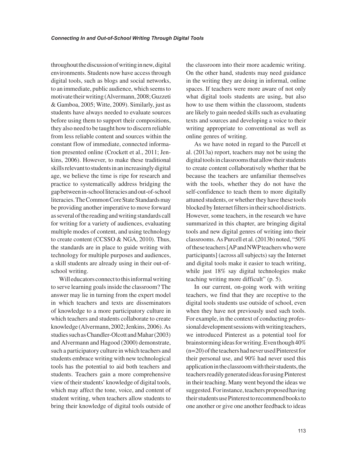throughout the discussion of writing in new, digital environments. Students now have access through digital tools, such as blogs and social networks, to an immediate, public audience, which seems to motivate their writing (Alvermann, 2008; Guzzeti & Gamboa, 2005; Witte, 2009). Similarly, just as students have always needed to evaluate sources before using them to support their compositions, they also need to be taught how to discern reliable from less reliable content and sources within the constant flow of immediate, connected information presented online (Crockett et al., 2011; Jenkins, 2006). However, to make these traditional skills relevant to students in an increasingly digital age, we believe the time is ripe for research and practice to systematically address bridging the gap between in-school literacies and out-of-school literacies. The Common Core State Standards may be providing another imperative to move forward as several of the reading and writing standards call for writing for a variety of audiences, evaluating multiple modes of content, and using technology to create content (CCSSO & NGA, 2010). Thus, the standards are in place to guide writing with technology for multiple purposes and audiences, a skill students are already using in their out-ofschool writing.

Will educators connect to this informal writing to serve learning goals inside the classroom? The answer may lie in turning from the expert model in which teachers and texts are disseminators of knowledge to a more participatory culture in which teachers and students collaborate to create knowledge (Alvermann, 2002; Jenkins, 2006). As studies such as Chandler-Olcott and Mahar (2003) and Alvermann and Hagood (2000) demonstrate, such a participatory culture in which teachers and students embrace writing with new technological tools has the potential to aid both teachers and students. Teachers gain a more comprehensive view of their students' knowledge of digital tools, which may affect the tone, voice, and content of student writing, when teachers allow students to bring their knowledge of digital tools outside of the classroom into their more academic writing. On the other hand, students may need guidance in the writing they are doing in informal, online spaces. If teachers were more aware of not only what digital tools students are using, but also how to use them within the classroom, students are likely to gain needed skills such as evaluating texts and sources and developing a voice to their writing appropriate to conventional as well as online genres of writing.

As we have noted in regard to the Purcell et al. (2013a) report, teachers may not be using the digital tools in classrooms that allow their students to create content collaboratively whether that be because the teachers are unfamiliar themselves with the tools, whether they do not have the self-confidence to teach them to more digitally attuned students, or whether they have these tools blocked by Internet filters in their school districts. However, some teachers, in the research we have summarized in this chapter, are bringing digital tools and new digital genres of writing into their classrooms. As Purcell et al. (2013b) noted, "50% of these teachers [AP and NWP teachers who were participants] (across all subjects) say the Internet and digital tools make it easier to teach writing, while just 18% say digital technologies make teaching writing more difficult" (p. 5).

In our current, on-going work with writing teachers, we find that they are receptive to the digital tools students use outside of school, even when they have not previously used such tools. For example, in the context of conducting professional development sessions with writing teachers, we introduced Pinterest as a potential tool for brainstorming ideas for writing. Even though 40% (n=20) of the teachers had never used Pinterest for their personal use, and 90% had never used this application in the classroom with their students, the teachers readily generated ideas for using Pinterest in their teaching. Many went beyond the ideas we suggested. For instance, teachers proposed having their students use Pinterest to recommend books to one another or give one another feedback to ideas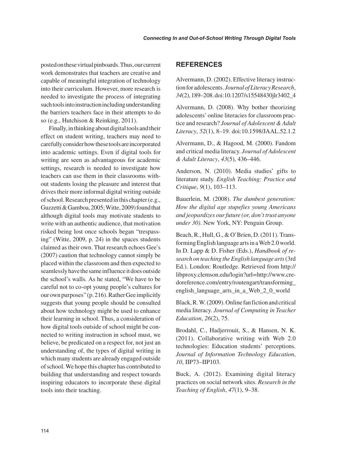posted on these virtual pinboards. Thus, our current work demonstrates that teachers are creative and capable of meaningful integration of technology into their curriculum. However, more research is needed to investigate the process of integrating such tools into instruction including understanding the barriers teachers face in their attempts to do so (e.g., Hutchison & Reinking, 2011).

Finally, in thinking about digital tools and their effect on student writing, teachers may need to carefully consider how these tools are incorporated into academic settings. Even if digital tools for writing are seen as advantageous for academic settings, research is needed to investigate how teachers can use them in their classrooms without students losing the pleasure and interest that drives their more informal digital writing outside of school. Research presented in this chapter (e.g., Guzzetti & Gamboa, 2005; Witte, 2009) found that although digital tools may motivate students to write with an authentic audience, that motivation risked being lost once schools began "trespassing" (Witte, 2009, p. 24) in the spaces students claimed as their own. That research echoes Gee's (2007) caution that technology cannot simply be placed within the classroom and then expected to seamlessly have the same influence it does outside the school's walls. As he stated, "We have to be careful not to co-opt young people's cultures for our own purposes" (p. 216). Rather Gee implicitly suggests that young people should be consulted about how technology might be used to enhance their learning in school. Thus, a consideration of how digital tools outside of school might be connected to writing instruction in school must, we believe, be predicated on a respect for, not just an understanding of, the types of digital writing in which many students are already engaged outside of school. We hope this chapter has contributed to building that understanding and respect towards inspiring educators to incorporate these digital tools into their teaching.

#### **REFERENCES**

Alvermann, D. (2002). Effective literacy instruction for adolescents. *Journal of Literacy Research*, *34*(2), 189–208. doi:10.1207/s15548430jlr3402\_4

Alvermann, D. (2008). Why bother theorizing adolescents' online literacies for classroom practice and research? *Journal of Adolescent & Adult Literacy*, *52*(1), 8–19. doi:10.1598/JAAL.52.1.2

Alvermann, D., & Hagood, M. (2000). Fandom and critical media literacy. *Journal of Adolescent & Adult Literacy*, *43*(5), 436–446.

Anderson, N. (2010). Media studies' gifts to literature study. *English Teaching: Practice and Critique*, *9*(1), 103–113.

Bauerlein, M. (2008). *The dumbest generation: How the digital age stupefies young Americans and jeopardizes our future (or, don't trust anyone under 30)*. New York, NY: Penguin Group.

Beach, R., Hull, G., & O'Brien, D. (2011). Transforming English language arts in a Web 2.0 world. In D. Lapp & D. Fisher (Eds.), *Handbook of research on teaching the English language arts* (3rd Ed.). London: Routledge. Retrieved from http:// libproxy.clemson.edu/login?url=http://www.credoreference.com/entry/routengart/transforming\_ english language arts in a Web 2 0 world

Black, R. W. (2009). Online fan fiction and critical media literacy. *Journal of Computing in Teacher Education*, *26*(2), 75.

Brodahl, C., Hadjerrouit, S., & Hansen, N. K. (2011). Collaborative writing with Web 2.0 technologies: Education students' perceptions. *Journal of Information Technology Education*, *10*, IIP73–IIP103.

Buck, A. (2012). Examining digital literacy practices on social network sites. *Research in the Teaching of English*, *47*(1), 9–38.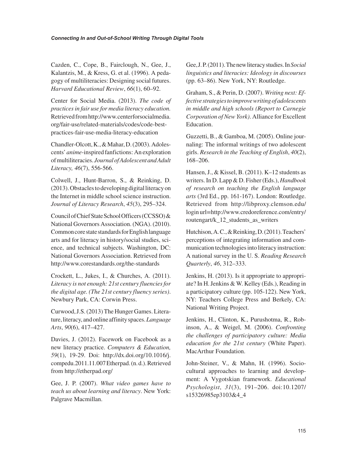Cazden, C., Cope, B., Fairclough, N., Gee, J., Kalantzis, M., & Kress, G. et al. (1996). A pedagogy of multiliteracies: Designing social futures. *Harvard Educational Review*, *66*(1), 60–92.

Center for Social Media. (2013). *The code of practices in fair use for media literacy education.* Retrieved from http://www.centerforsocialmedia. org/fair-use/related-materials/codes/code-bestpractices-fair-use-media-literacy-education

Chandler-Olcott, K., & Mahar, D. (2003). Adolescents' *anime*-inspired fanfictions: An exploration of multiliteracies. *Journal of Adolescent and Adult Literacy, 46*(7), 556-566.

Colwell, J., Hunt-Barron, S., & Reinking, D. (2013). Obstacles to developing digital literacy on the Internet in middle school science instruction. *Journal of Literacy Research*, *45*(3), 295–324.

Council of Chief State School Officers (CCSSO) & National Governors Association. (NGA). (2010). Common core state standards for English language arts and for literacy in history/social studies, science, and technical subjects. Washington, DC: National Governors Association. Retrieved from http://www.corestandards.org/the-standards

Crockett, L., Jukes, I., & Churches, A. (2011). *Literacy is not enough: 21st century fluencies for the digital age. (The 21st century fluency series)*. Newbury Park, CA: Corwin Press.

Curwood, J.S. (2013) The Hunger Games. Literature, literacy, and online affinity spaces. *Language Arts*, *90*(6), 417–427.

Davies, J. (2012). Facework on Facebook as a new literacy practice. *Computers & Education, 59*(1), 19-29. Doi: http://dx.doi.org/10.1016/j. compedu.2011.11.007 Etherpad. (n. d.). Retrieved from http://etherpad.org/

Gee, J. P. (2007). *What video games have to teach us about learning and literacy*. New York: Palgrave Macmillan.

Gee, J. P. (2011). The new literacy studies. In *Social linguistics and literacies: Ideology in discourses* (pp. 63–86). New York, NY: Routledge.

Graham, S., & Perin, D. (2007). *Writing next: Effective strategies to improve writing of adolescents in middle and high schools (Report to Carnegie Corporation of New York)*. Alliance for Excellent Education.

Guzzetti, B., & Gamboa, M. (2005). Online journaling: The informal writings of two adolescent girls. *Research in the Teaching of English*, *40*(2), 168–206.

Hansen, J., & Kissel, B. (2011). K–12 students as writers. In D. Lapp & D. Fisher (Eds.), *Handbook of research on teaching the English language arts* (3rd Ed., pp. 161-167). London: Routledge. Retrieved from http://libproxy.clemson.edu/ login url=http://www.credoreference.com/entry/ routengart/k\_12\_students\_as\_writers

Hutchison, A. C., & Reinking, D. (2011). Teachers' perceptions of integrating information and communication technologies into literacy instruction: A national survey in the U. S. *Reading Research Quarterly*, *46*, 312–333.

Jenkins, H. (2013). Is it appropriate to appropriate? In H. Jenkins & W. Kelley (Eds.), Reading in a participatory culture (pp. 105-122). New York, NY: Teachers College Press and Berkely, CA: National Writing Project.

Jenkins, H., Clinton, K., Purushotma, R., Robinson, A., & Weigel, M. (2006). *Confronting the challenges of participatory culture: Media education for the 21st century* (White Paper). MacArthur Foundation.

John-Steiner, V., & Mahn, H. (1996). Sociocultural approaches to learning and development: A Vygotskian framework. *Educational Psychologist*, *31*(3), 191–206. doi:10.1207/ s15326985ep3103&4\_4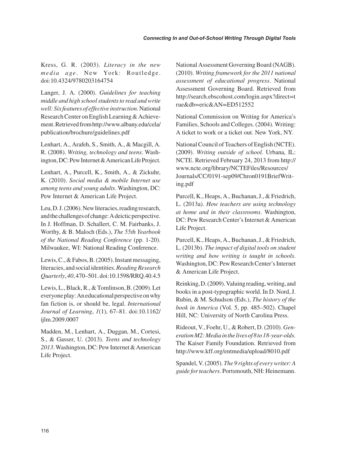Kress, G. R. (2003). *Literacy in the new media age* . New York: Routledge. doi:10.4324/9780203164754

Langer, J. A. (2000). *Guidelines for teaching middle and high school students to read and write well: Six features of effective instruction.* National Research Center on English Learning & Achievement. Retrieved from http://www.albany.edu/cela/ publication/brochure/guidelines.pdf

Lenhart, A., Arafeh, S., Smith, A., & Macgill, A. R. (2008). *Writing, technology and teens*. Washington, DC: Pew Internet & American Life Project.

Lenhart, A., Purcell, K., Smith, A., & Zickuhr, K. (2010). *Social media & mobile Internet use among teens and young adults*. Washington, DC: Pew Internet & American Life Project.

Leu, D. J. (2006). New literacies, reading research, and the challenges of change: A deictic perspective. In J. Hoffman, D. Schallert, C. M. Fairbanks, J. Worthy, & B. Maloch (Eds.), *The 55th Yearbook of the National Reading Conference* (pp. 1-20). Milwaukee, WI: National Reading Conference.

Lewis, C., & Fabos, B. (2005). Instant messaging, literacies, and social identities. *Reading Research Quarterly*, *40*, 470–501. doi:10.1598/RRQ.40.4.5

Lewis, L., Black, R., & Tomlinson, B. (2009). Let everyone play: An educational perspective on why fan fiction is, or should be, legal. *International Journal of Learning*, *1*(1), 67–81. doi:10.1162/ ijlm.2009.0007

Madden, M., Lenhart, A., Duggan, M., Cortesi, S., & Gasser, U. (2013). *Teens and technology 2013*. Washington, DC: Pew Internet & American Life Project.

National Assessment Governing Board (NAGB). (2010). *Writing framework for the 2011 national assessment of educational progress*. National Assessment Governing Board. Retrieved from http://search.ebscohost.com/login.aspx?direct=t rue&db=eric&AN=ED512552

National Commission on Writing for America's Families, Schools and Colleges. (2004). Writing: A ticket to work or a ticket out. New York, NY.

National Council of Teachers of English (NCTE). (2009). *Writing outside of school.* Urbana, IL: NCTE. Retrieved February 24, 2013 from http:// www.ncte.org/library/NCTEFiles/Resources/ Journals/CC/0191-sep09/Chron0191BriefWriting.pdf

Purcell, K., Heaps, A., Buchanan, J., & Friedrich, L. (2013a). *How teachers are using technology at home and in their classrooms*. Washington, DC: Pew Research Center's Internet & American Life Project.

Purcell, K., Heaps, A., Buchanan, J., & Friedrich, L. (2013b). *The impact of digital tools on student writing and how writing is taught in schools*. Washington, DC: Pew Research Center's Internet & American Life Project.

Reinking, D. (2009). Valuing reading, writing, and books in a post-typographic world. In D. Nord, J. Rubin, & M. Schudson (Eds.), *The history of the book in America* (Vol. 5, pp. 485–502). Chapel Hill, NC: University of North Carolina Press.

Rideout, V., Foehr, U., & Robert, D. (2010). *Generation M2: Media in the lives of 8 to 18-year-olds.* The Kaiser Family Foundation. Retrieved from http://www.kff.org/entmedia/upload/8010.pdf

Spandel, V. (2005). *The 9 rights of every writer: A guide for teachers*. Portsmouth, NH: Heinemann.